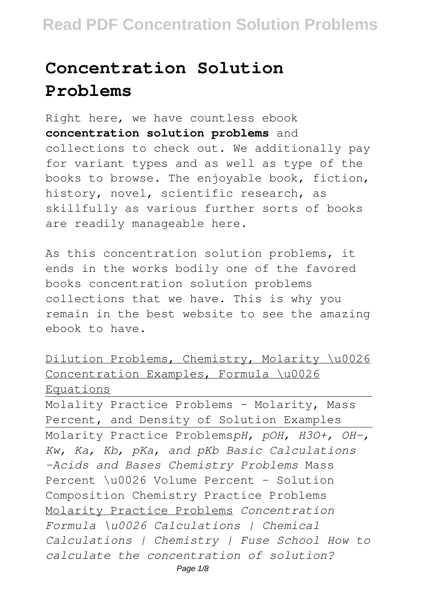# **Concentration Solution Problems**

Right here, we have countless ebook **concentration solution problems** and collections to check out. We additionally pay for variant types and as well as type of the books to browse. The enjoyable book, fiction, history, novel, scientific research, as skillfully as various further sorts of books are readily manageable here.

As this concentration solution problems, it ends in the works bodily one of the favored books concentration solution problems collections that we have. This is why you remain in the best website to see the amazing ebook to have.

```
Dilution Problems, Chemistry, Molarity \u0026
Concentration Examples, Formula \u0026
Equations
```
Molality Practice Problems - Molarity, Mass Percent, and Density of Solution Examples Molarity Practice Problems*pH, pOH, H3O+, OH-, Kw, Ka, Kb, pKa, and pKb Basic Calculations -Acids and Bases Chemistry Problems* Mass Percent \u0026 Volume Percent - Solution Composition Chemistry Practice Problems Molarity Practice Problems *Concentration Formula \u0026 Calculations | Chemical Calculations | Chemistry | Fuse School How to calculate the concentration of solution?*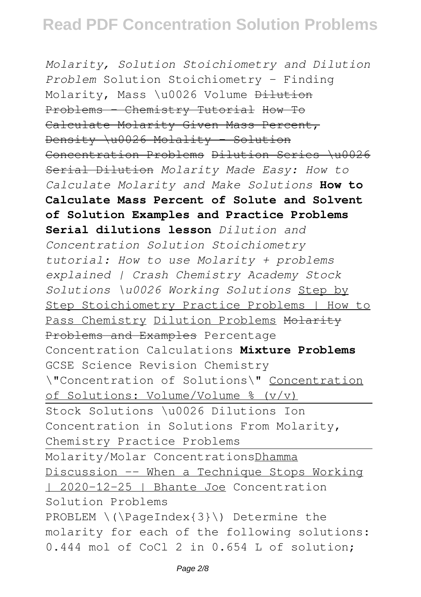*Molarity, Solution Stoichiometry and Dilution Problem* Solution Stoichiometry - Finding Molarity, Mass \u0026 Volume Dilution Problems - Chemistry Tutorial How To Calculate Molarity Given Mass Percent, Density \u0026 Molality - Solution Concentration Problems Dilution Series \u0026 Serial Dilution *Molarity Made Easy: How to Calculate Molarity and Make Solutions* **How to Calculate Mass Percent of Solute and Solvent of Solution Examples and Practice Problems Serial dilutions lesson** *Dilution and Concentration Solution Stoichiometry tutorial: How to use Molarity + problems explained | Crash Chemistry Academy Stock Solutions \u0026 Working Solutions* Step by Step Stoichiometry Practice Problems | How to Pass Chemistry Dilution Problems Molarity Problems and Examples Percentage Concentration Calculations **Mixture Problems** GCSE Science Revision Chemistry \"Concentration of Solutions\" Concentration of Solutions: Volume/Volume % (v/v) Stock Solutions \u0026 Dilutions Ion Concentration in Solutions From Molarity, Chemistry Practice Problems Molarity/Molar ConcentrationsDhamma Discussion -- When a Technique Stops Working | 2020-12-25 | Bhante Joe Concentration Solution Problems PROBLEM \(\PaqeIndex{3}\) Determine the molarity for each of the following solutions: 0.444 mol of CoCl 2 in 0.654 L of solution;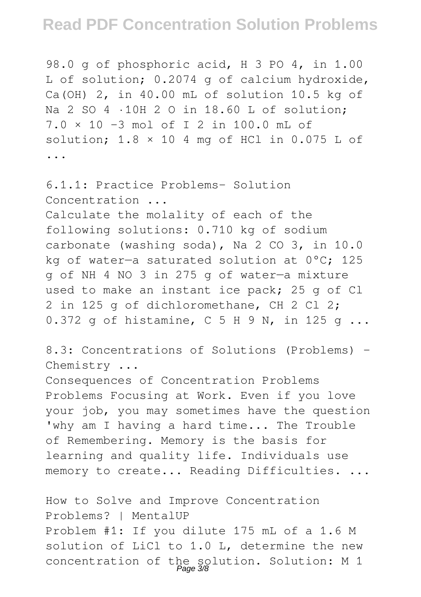98.0 g of phosphoric acid, H 3 PO 4, in 1.00 L of solution; 0.2074 g of calcium hydroxide, Ca(OH) 2, in 40.00 mL of solution 10.5 kg of Na 2 SO 4 ·10H 2 O in 18.60 L of solution; 7.0 × 10 −3 mol of I 2 in 100.0 mL of solution;  $1.8 \times 10.4$  mg of HCl in 0.075 L of ...

6.1.1: Practice Problems- Solution Concentration ... Calculate the molality of each of the following solutions: 0.710 kg of sodium carbonate (washing soda), Na 2 CO 3, in 10.0 kg of water—a saturated solution at 0°C; 125 g of NH 4 NO 3 in 275 g of water—a mixture used to make an instant ice pack; 25 g of Cl 2 in 125 g of dichloromethane, CH 2 Cl 2; 0.372 g of histamine, C 5 H 9 N, in 125 g ...

8.3: Concentrations of Solutions (Problems) - Chemistry ...

Consequences of Concentration Problems Problems Focusing at Work. Even if you love your job, you may sometimes have the question 'why am I having a hard time... The Trouble of Remembering. Memory is the basis for learning and quality life. Individuals use memory to create... Reading Difficulties. ...

How to Solve and Improve Concentration Problems? | MentalUP Problem #1: If you dilute 175 mL of a 1.6 M solution of LiCl to 1.0 L, determine the new concentration of the solution. Solution: M 1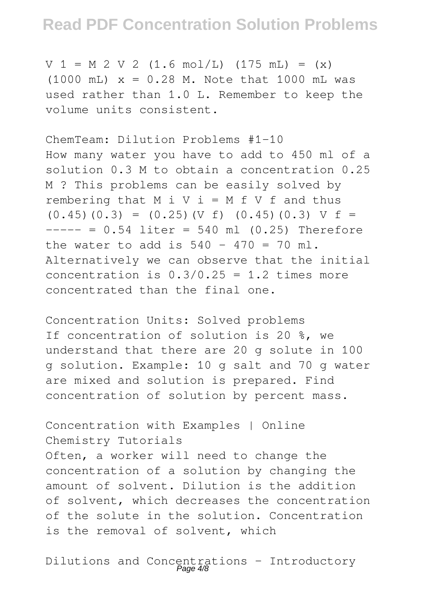$V 1 = M 2 V 2 (1.6 mol/L) (175 mL) = (x)$  $(1000 \text{ mL})$   $x = 0.28 \text{ M}$ . Note that 1000 mL was used rather than 1.0 L. Remember to keep the volume units consistent.

ChemTeam: Dilution Problems #1-10 How many water you have to add to 450 ml of a solution 0.3 M to obtain a concentration 0.25 M ? This problems can be easily solved by rembering that  $M$  i  $V$  i =  $M$  f  $V$  f and thus  $(0.45)(0.3) = (0.25)(V f) (0.45)(0.3) V f =$  $--- = 0.54$  liter = 540 ml (0.25) Therefore the water to add is  $540 - 470 = 70$  ml. Alternatively we can observe that the initial concentration is  $0.3/0.25 = 1.2$  times more concentrated than the final one.

Concentration Units: Solved problems If concentration of solution is 20 %, we understand that there are 20 g solute in 100 g solution. Example: 10 g salt and 70 g water are mixed and solution is prepared. Find concentration of solution by percent mass.

Concentration with Examples | Online Chemistry Tutorials Often, a worker will need to change the concentration of a solution by changing the amount of solvent. Dilution is the addition of solvent, which decreases the concentration of the solute in the solution. Concentration is the removal of solvent, which

Dilutions and Concentrations - Introductory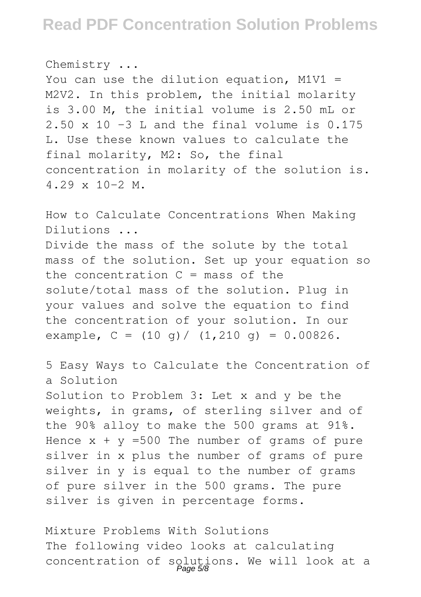Chemistry ... You can use the dilution equation,  $M1V1 =$ M2V2. In this problem, the initial molarity is 3.00 M, the initial volume is 2.50 mL or  $2.50 \times 10$  -3 L and the final volume is 0.175 L. Use these known values to calculate the final molarity, M2: So, the final concentration in molarity of the solution is.  $4.29 \times 10-2$  M.

How to Calculate Concentrations When Making Dilutions ... Divide the mass of the solute by the total mass of the solution. Set up your equation so the concentration  $C = \text{mass of the}$ solute/total mass of the solution. Plug in your values and solve the equation to find the concentration of your solution. In our example,  $C = (10 q) / (1,210 q) = 0.00826$ .

5 Easy Ways to Calculate the Concentration of a Solution Solution to Problem 3: Let x and y be the weights, in grams, of sterling silver and of the 90% alloy to make the 500 grams at 91%. Hence  $x + y = 500$  The number of grams of pure silver in x plus the number of grams of pure silver in y is equal to the number of grams of pure silver in the 500 grams. The pure silver is given in percentage forms.

Mixture Problems With Solutions The following video looks at calculating concentration of solutions. We will look at a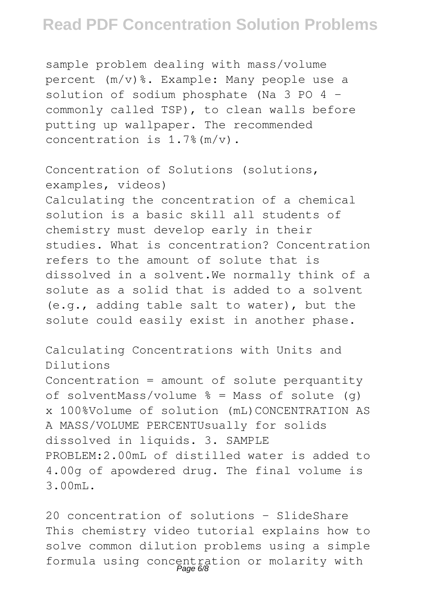sample problem dealing with mass/volume  $percent (m/v)\$ . Example: Many people use a solution of sodium phosphate (Na 3 PO 4 commonly called TSP), to clean walls before putting up wallpaper. The recommended concentration is 1.7%(m/v).

Concentration of Solutions (solutions, examples, videos) Calculating the concentration of a chemical solution is a basic skill all students of chemistry must develop early in their studies. What is concentration? Concentration refers to the amount of solute that is dissolved in a solvent.We normally think of a solute as a solid that is added to a solvent (e.g., adding table salt to water), but the solute could easily exist in another phase.

Calculating Concentrations with Units and Dilutions Concentration = amount of solute perquantity of solventMass/volume  $\frac{1}{6}$  = Mass of solute (q) x 100%Volume of solution (mL)CONCENTRATION AS A MASS/VOLUME PERCENTUsually for solids dissolved in liquids. 3. SAMPLE PROBLEM:2.00mL of distilled water is added to 4.00g of apowdered drug. The final volume is 3.00mL.

20 concentration of solutions - SlideShare This chemistry video tutorial explains how to solve common dilution problems using a simple formula using concentration or molarity with Page 6/8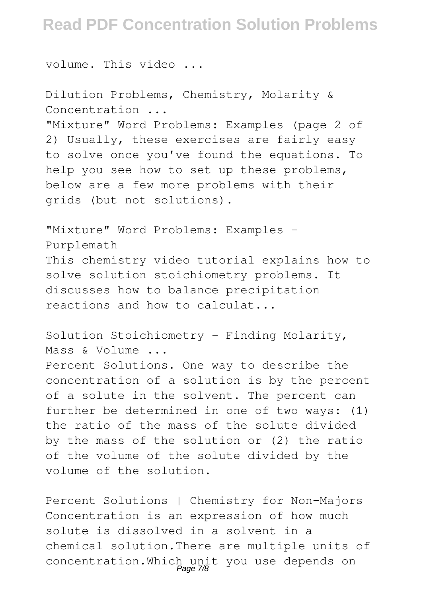volume. This video ...

Dilution Problems, Chemistry, Molarity & Concentration ... "Mixture" Word Problems: Examples (page 2 of 2) Usually, these exercises are fairly easy to solve once you've found the equations. To help you see how to set up these problems, below are a few more problems with their grids (but not solutions).

"Mixture" Word Problems: Examples -Purplemath This chemistry video tutorial explains how to solve solution stoichiometry problems. It discusses how to balance precipitation reactions and how to calculat...

Solution Stoichiometry - Finding Molarity, Mass & Volume ...

Percent Solutions. One way to describe the concentration of a solution is by the percent of a solute in the solvent. The percent can further be determined in one of two ways: (1) the ratio of the mass of the solute divided by the mass of the solution or (2) the ratio of the volume of the solute divided by the volume of the solution.

Percent Solutions | Chemistry for Non-Majors Concentration is an expression of how much solute is dissolved in a solvent in a chemical solution.There are multiple units of concentration.Which unit you use depends on Page 7/8